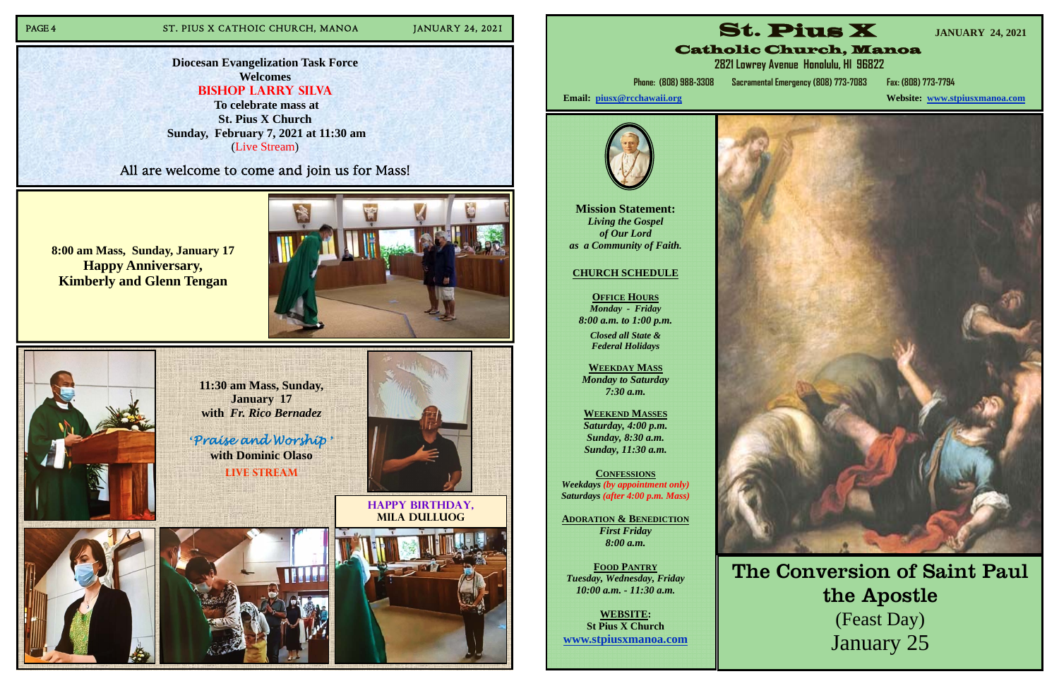## PAGE 4 ST. PIUS X CATHOIC CHURCH, MANOA JANUARY 24, 2021

**11:30 am Mass, Sunday, January 17 with** *Fr. Rico Bernadez* 

**'***Praise and Worship* **' with Dominic Olaso Live Stream** 



**Happy birthday, Mila Dulluog** 



**8:00 am Mass, Sunday, January 17 Happy Anniversary, Kimberly and Glenn Tengan**





**Diocesan Evangelization Task Force Welcomes Bishop Larry Silva** 

 **To celebrate mass at St. Pius X Church Sunday, February 7, 2021 at 11:30 am**  (Live Stream)

All are welcome to come and join us for Mass!

**Mission Statement:**  *Living the Gospel of Our Lord as a Community of Faith.* 

#### **CHURCH SCHEDULE**

**OFFICE HOURS***Monday - Friday 8:00 a.m. to 1:00 p.m.* 

> *Closed all State & Federal Holidays*

**WEEKDAY MASS** *Monday to Saturday 7:30 a.m.* 

**WEEKEND MASSES**  *Saturday, 4:00 p.m. Sunday, 8:30 a.m. Sunday, 11:30 a.m.* 

**CONFESSIONS** *Weekdays (by appointment only) Saturdays (after 4:00 p.m. Mass)* 

**ADORATION & BENEDICTION***First Friday 8:00 a.m.* 

**FOOD PANTRY** *Tuesday, Wednesday, Friday 10:00 a.m. - 11:30 a.m.* 

**WEBSITE: St Pius X Church www.stpiusxmanoa.com** 



**Website: www.stpiusxmanoa.com** 





**Phone: (808) 988-3308 Sacramental Emergency (808) 773-7083 Fax: (808) 773-7794** 

Email: piusx@rcchawaii.org



The Conversion of Saint Paul the Apostle (Feast Day) January 25